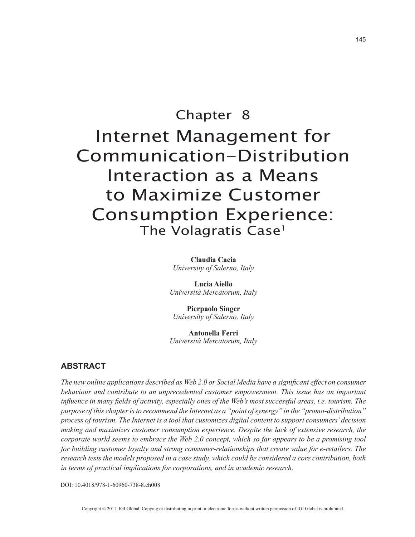# Chapter 8 Internet Management for Communication-Distribution Interaction as a Means to Maximize Customer Consumption Experience: The Volagratis Case<sup>1</sup>

**Claudia Cacia** *University of Salerno, Italy*

**Lucia Aiello** *Università Mercatorum, Italy*

**Pierpaolo Singer** *University of Salerno, Italy*

**Antonella Ferri** *Università Mercatorum, Italy*

# **ABSTRACT**

*The new online applications described as Web 2.0 or Social Media have a significant effect on consumer behaviour and contribute to an unprecedented customer empowerment. This issue has an important influence in many fields of activity, especially ones of the Web's most successful areas, i.e. tourism. The purpose of this chapter is to recommend the Internet as a "point of synergy" in the "promo-distribution" process of tourism. The Internet is a tool that customizes digital content to support consumers' decision making and maximizes customer consumption experience. Despite the lack of extensive research, the corporate world seems to embrace the Web 2.0 concept, which so far appears to be a promising tool for building customer loyalty and strong consumer-relationships that create value for e-retailers. The research tests the models proposed in a case study, which could be considered a core contribution, both in terms of practical implications for corporations, and in academic research.*

DOI: 10.4018/978-1-60960-738-8.ch008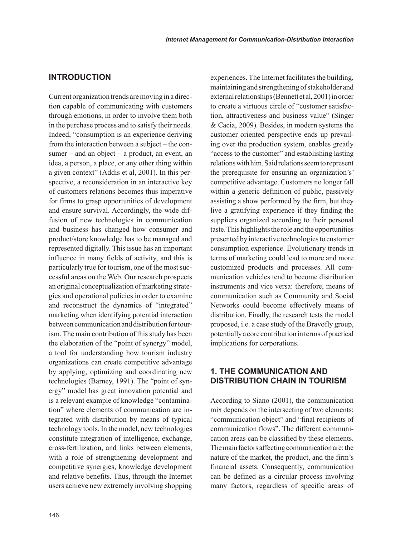# **INTRODUCTION**

Current organization trends are moving in a direction capable of communicating with customers through emotions, in order to involve them both in the purchase process and to satisfy their needs. Indeed, "consumption is an experience deriving from the interaction between a subject – the consumer – and an object – a product, an event, an idea, a person, a place, or any other thing within a given context" (Addis et al, 2001). In this perspective, a reconsideration in an interactive key of customers relations becomes thus imperative for firms to grasp opportunities of development and ensure survival. Accordingly, the wide diffusion of new technologies in communication and business has changed how consumer and product/store knowledge has to be managed and represented digitally. This issue has an important influence in many fields of activity, and this is particularly true for tourism, one of the most successful areas on the Web. Our research prospects an original conceptualization of marketing strategies and operational policies in order to examine and reconstruct the dynamics of "integrated" marketing when identifying potential interaction between communication and distribution for tourism. The main contribution of this study has been the elaboration of the "point of synergy" model, a tool for understanding how tourism industry organizations can create competitive advantage by applying, optimizing and coordinating new technologies (Barney, 1991). The "point of synergy" model has great innovation potential and is a relevant example of knowledge "contamination" where elements of communication are integrated with distribution by means of typical technology tools. In the model, new technologies constitute integration of intelligence, exchange, cross-fertilization, and links between elements, with a role of strengthening development and competitive synergies, knowledge development and relative benefits. Thus, through the Internet users achieve new extremely involving shopping experiences. The Internet facilitates the building, maintaining and strengthening of stakeholder and external relationships (Bennett et al, 2001) in order to create a virtuous circle of "customer satisfaction, attractiveness and business value" (Singer & Cacia, 2009). Besides, in modern systems the customer oriented perspective ends up prevailing over the production system, enables greatly "access to the customer" and establishing lasting relations with him. Said relations seem to represent the prerequisite for ensuring an organization's' competitive advantage. Customers no longer fall within a generic definition of public, passively assisting a show performed by the firm, but they live a gratifying experience if they finding the suppliers organized according to their personal taste. This highlights the role and the opportunities presented by interactive technologies to customer consumption experience. Evolutionary trends in terms of marketing could lead to more and more customized products and processes. All communication vehicles tend to become distribution instruments and vice versa: therefore, means of communication such as Community and Social Networks could become effectively means of distribution. Finally, the research tests the model proposed, i.e. a case study of the Bravofly group, potentially a core contribution in terms of practical implications for corporations.

# **1. THE COMMUNICATION AND DISTRIBUTION CHAIN IN TOURISM**

According to Siano (2001), the communication mix depends on the intersecting of two elements: "communication object" and "final recipients of communication flows". The different communication areas can be classified by these elements. The main factors affecting communication are: the nature of the market, the product, and the firm's financial assets. Consequently, communication can be defined as a circular process involving many factors, regardless of specific areas of